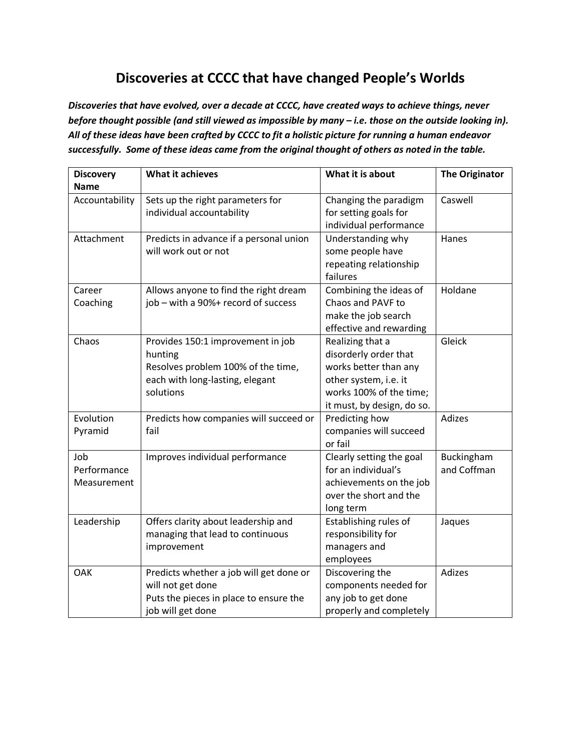## **Discoveries at CCCC that have changed People's Worlds**

*Discoveries that have evolved, over a decade at CCCC, have created ways to achieve things, never before thought possible (and still viewed as impossible by many – i.e. those on the outside looking in). All of these ideas have been crafted by CCCC to fit a holistic picture for running a human endeavor successfully. Some of these ideas came from the original thought of others as noted in the table.*

| <b>Discovery</b> | What it achieves                        | What it is about           | <b>The Originator</b> |
|------------------|-----------------------------------------|----------------------------|-----------------------|
| <b>Name</b>      |                                         |                            |                       |
| Accountability   | Sets up the right parameters for        | Changing the paradigm      | Caswell               |
|                  | individual accountability               | for setting goals for      |                       |
|                  |                                         | individual performance     |                       |
| Attachment       | Predicts in advance if a personal union | Understanding why          | Hanes                 |
|                  | will work out or not                    | some people have           |                       |
|                  |                                         | repeating relationship     |                       |
|                  |                                         | failures                   |                       |
| Career           | Allows anyone to find the right dream   | Combining the ideas of     | Holdane               |
| Coaching         | job - with a 90%+ record of success     | Chaos and PAVF to          |                       |
|                  |                                         | make the job search        |                       |
|                  |                                         | effective and rewarding    |                       |
| Chaos            | Provides 150:1 improvement in job       | Realizing that a           | Gleick                |
|                  | hunting                                 | disorderly order that      |                       |
|                  | Resolves problem 100% of the time,      | works better than any      |                       |
|                  | each with long-lasting, elegant         | other system, i.e. it      |                       |
|                  | solutions                               | works 100% of the time;    |                       |
|                  |                                         | it must, by design, do so. |                       |
| Evolution        | Predicts how companies will succeed or  | Predicting how             | Adizes                |
| Pyramid          | fail                                    | companies will succeed     |                       |
|                  |                                         | or fail                    |                       |
| Job              | Improves individual performance         | Clearly setting the goal   | Buckingham            |
| Performance      |                                         | for an individual's        | and Coffman           |
| Measurement      |                                         | achievements on the job    |                       |
|                  |                                         | over the short and the     |                       |
|                  |                                         | long term                  |                       |
| Leadership       | Offers clarity about leadership and     | Establishing rules of      | Jaques                |
|                  | managing that lead to continuous        | responsibility for         |                       |
|                  | improvement                             | managers and               |                       |
|                  |                                         | employees                  |                       |
| OAK              | Predicts whether a job will get done or | Discovering the            | Adizes                |
|                  | will not get done                       | components needed for      |                       |
|                  | Puts the pieces in place to ensure the  | any job to get done        |                       |
|                  | job will get done                       | properly and completely    |                       |